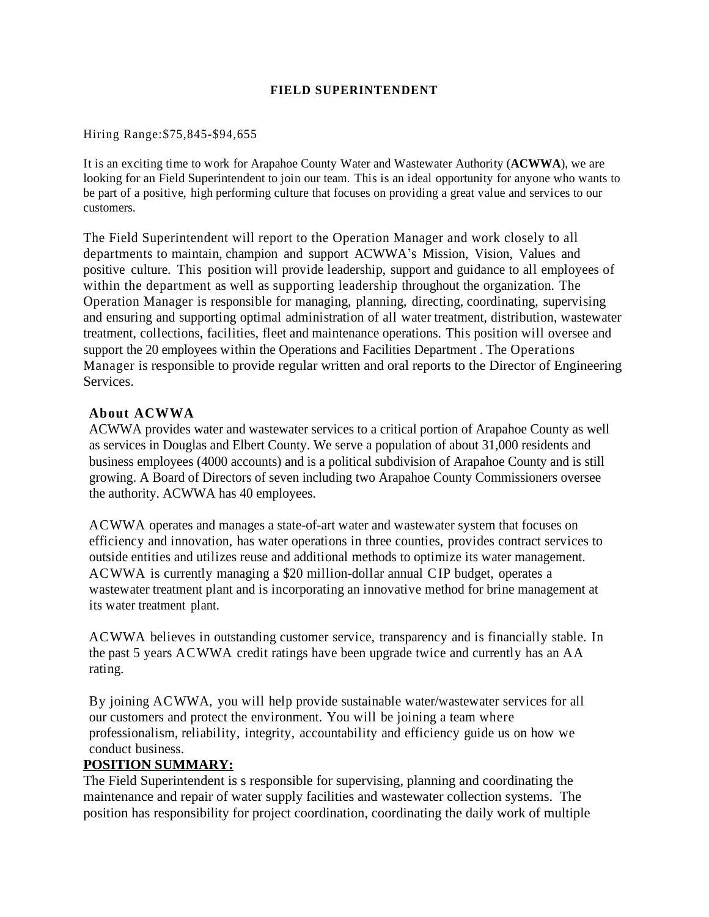### **FIELD SUPERINTENDENT**

#### Hiring Range:\$75,845-\$94,655

It is an exciting time to work for Arapahoe County Water and Wastewater Authority (**ACWWA**), we are looking for an Field Superintendent to join our team. This is an ideal opportunity for anyone who wants to be part of a positive, high performing culture that focuses on providing a great value and services to our customers.

The Field Superintendent will report to the Operation Manager and work closely to all departments to maintain, champion and support ACWWA's Mission, Vision, Values and positive culture. This position will provide leadership, support and guidance to all employees of within the department as well as supporting leadership throughout the organization. The Operation Manager is responsible for managing, planning, directing, coordinating, supervising and ensuring and supporting optimal administration of all water treatment, distribution, wastewater treatment, collections, facilities, fleet and maintenance operations. This position will oversee and support the 20 employees within the Operations and Facilities Department . The Operations Manager is responsible to provide regular written and oral reports to the Director of Engineering Services.

### **About ACWWA**

ACWWA provides water and wastewater services to a critical portion of Arapahoe County as well as services in Douglas and Elbert County. We serve a population of about 31,000 residents and business employees (4000 accounts) and is a political subdivision of Arapahoe County and is still growing. A Board of Directors of seven including two Arapahoe County Commissioners oversee the authority. ACWWA has 40 employees.

ACWWA operates and manages a state-of-art water and wastewater system that focuses on efficiency and innovation, has water operations in three counties, provides contract services to outside entities and utilizes reuse and additional methods to optimize its water management. ACWWA is currently managing a \$20 million-dollar annual CIP budget, operates a wastewater treatment plant and is incorporating an innovative method for brine management at its water treatment plant.

ACWWA believes in outstanding customer service, transparency and is financially stable. In the past 5 years ACWWA credit ratings have been upgrade twice and currently has an AA rating.

By joining ACWWA, you will help provide sustainable water/wastewater services for all our customers and protect the environment. You will be joining a team where professionalism, reliability, integrity, accountability and efficiency guide us on how we conduct business.

### **POSITION SUMMARY:**

The Field Superintendent is s responsible for supervising, planning and coordinating the maintenance and repair of water supply facilities and wastewater collection systems. The position has responsibility for project coordination, coordinating the daily work of multiple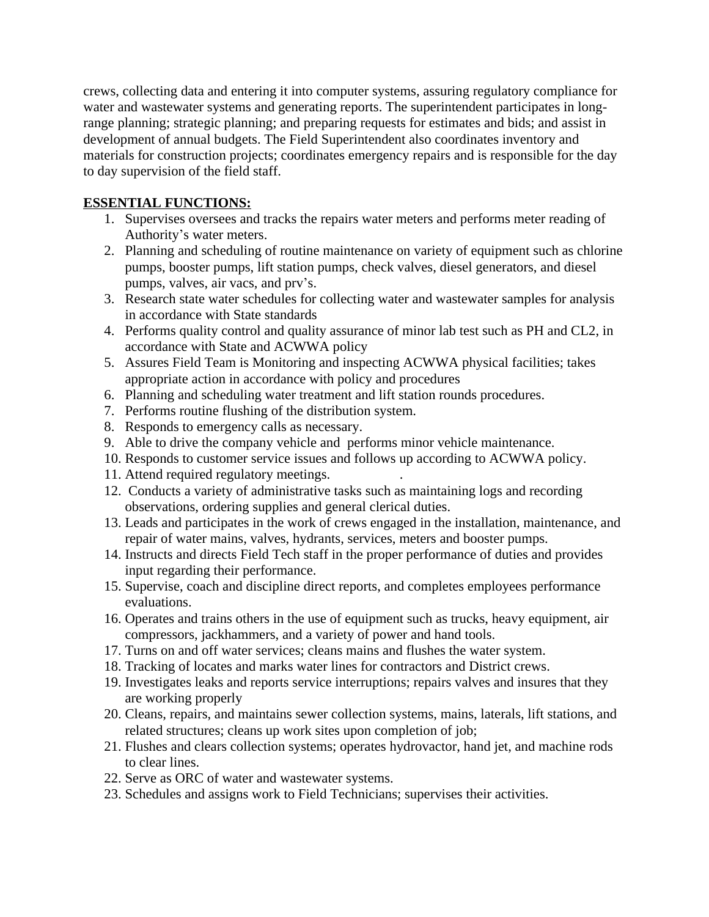crews, collecting data and entering it into computer systems, assuring regulatory compliance for water and wastewater systems and generating reports. The superintendent participates in longrange planning; strategic planning; and preparing requests for estimates and bids; and assist in development of annual budgets. The Field Superintendent also coordinates inventory and materials for construction projects; coordinates emergency repairs and is responsible for the day to day supervision of the field staff.

# **ESSENTIAL FUNCTIONS:**

- 1. Supervises oversees and tracks the repairs water meters and performs meter reading of Authority's water meters.
- 2. Planning and scheduling of routine maintenance on variety of equipment such as chlorine pumps, booster pumps, lift station pumps, check valves, diesel generators, and diesel pumps, valves, air vacs, and prv's.
- 3. Research state water schedules for collecting water and wastewater samples for analysis in accordance with State standards
- 4. Performs quality control and quality assurance of minor lab test such as PH and CL2, in accordance with State and ACWWA policy
- 5. Assures Field Team is Monitoring and inspecting ACWWA physical facilities; takes appropriate action in accordance with policy and procedures
- 6. Planning and scheduling water treatment and lift station rounds procedures.
- 7. Performs routine flushing of the distribution system.
- 8. Responds to emergency calls as necessary.
- 9. Able to drive the company vehicle and performs minor vehicle maintenance.
- 10. Responds to customer service issues and follows up according to ACWWA policy.
- 11. Attend required regulatory meetings. .
- 12. Conducts a variety of administrative tasks such as maintaining logs and recording observations, ordering supplies and general clerical duties.
- 13. Leads and participates in the work of crews engaged in the installation, maintenance, and repair of water mains, valves, hydrants, services, meters and booster pumps.
- 14. Instructs and directs Field Tech staff in the proper performance of duties and provides input regarding their performance.
- 15. Supervise, coach and discipline direct reports, and completes employees performance evaluations.
- 16. Operates and trains others in the use of equipment such as trucks, heavy equipment, air compressors, jackhammers, and a variety of power and hand tools.
- 17. Turns on and off water services; cleans mains and flushes the water system.
- 18. Tracking of locates and marks water lines for contractors and District crews.
- 19. Investigates leaks and reports service interruptions; repairs valves and insures that they are working properly
- 20. Cleans, repairs, and maintains sewer collection systems, mains, laterals, lift stations, and related structures; cleans up work sites upon completion of job;
- 21. Flushes and clears collection systems; operates hydrovactor, hand jet, and machine rods to clear lines.
- 22. Serve as ORC of water and wastewater systems.
- 23. Schedules and assigns work to Field Technicians; supervises their activities.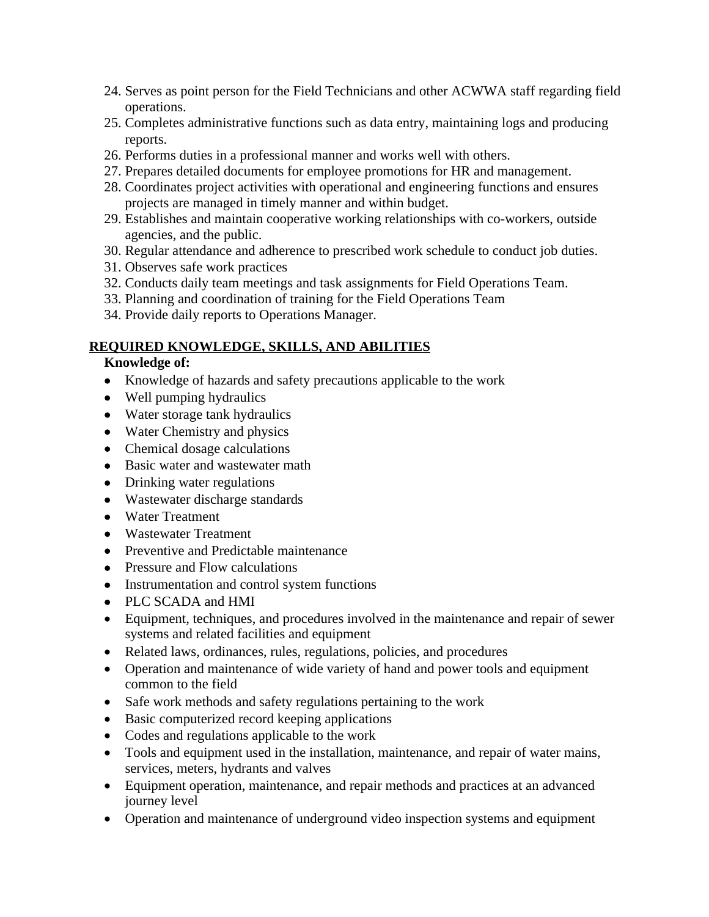- 24. Serves as point person for the Field Technicians and other ACWWA staff regarding field operations.
- 25. Completes administrative functions such as data entry, maintaining logs and producing reports.
- 26. Performs duties in a professional manner and works well with others.
- 27. Prepares detailed documents for employee promotions for HR and management.
- 28. Coordinates project activities with operational and engineering functions and ensures projects are managed in timely manner and within budget.
- 29. Establishes and maintain cooperative working relationships with co-workers, outside agencies, and the public.
- 30. Regular attendance and adherence to prescribed work schedule to conduct job duties.
- 31. Observes safe work practices
- 32. Conducts daily team meetings and task assignments for Field Operations Team.
- 33. Planning and coordination of training for the Field Operations Team
- 34. Provide daily reports to Operations Manager.

## **REQUIRED KNOWLEDGE, SKILLS, AND ABILITIES**

### **Knowledge of:**

- Knowledge of hazards and safety precautions applicable to the work
- Well pumping hydraulics
- Water storage tank hydraulics
- Water Chemistry and physics
- Chemical dosage calculations
- Basic water and wastewater math
- Drinking water regulations
- Wastewater discharge standards
- Water Treatment
- Wastewater Treatment
- Preventive and Predictable maintenance
- Pressure and Flow calculations
- Instrumentation and control system functions
- PLC SCADA and HMI
- Equipment, techniques, and procedures involved in the maintenance and repair of sewer systems and related facilities and equipment
- Related laws, ordinances, rules, regulations, policies, and procedures
- Operation and maintenance of wide variety of hand and power tools and equipment common to the field
- Safe work methods and safety regulations pertaining to the work
- Basic computerized record keeping applications
- Codes and regulations applicable to the work
- Tools and equipment used in the installation, maintenance, and repair of water mains, services, meters, hydrants and valves
- Equipment operation, maintenance, and repair methods and practices at an advanced journey level
- Operation and maintenance of underground video inspection systems and equipment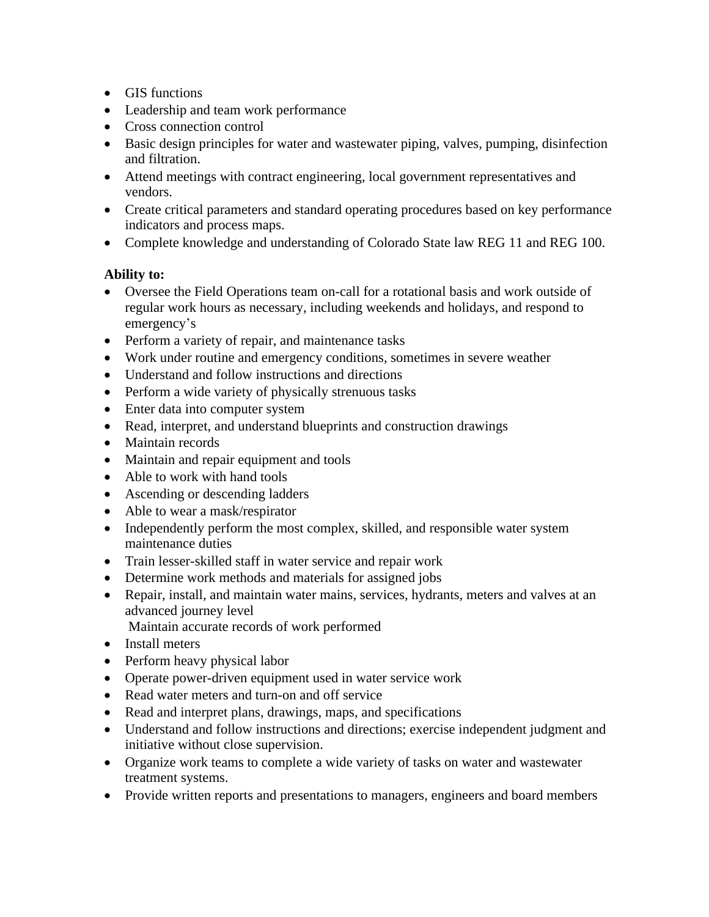- GIS functions
- Leadership and team work performance
- Cross connection control
- Basic design principles for water and wastewater piping, valves, pumping, disinfection and filtration.
- Attend meetings with contract engineering, local government representatives and vendors.
- Create critical parameters and standard operating procedures based on key performance indicators and process maps.
- Complete knowledge and understanding of Colorado State law REG 11 and REG 100.

# **Ability to:**

- Oversee the Field Operations team on-call for a rotational basis and work outside of regular work hours as necessary, including weekends and holidays, and respond to emergency's
- Perform a variety of repair, and maintenance tasks
- Work under routine and emergency conditions, sometimes in severe weather
- Understand and follow instructions and directions
- Perform a wide variety of physically strenuous tasks
- Enter data into computer system
- Read, interpret, and understand blueprints and construction drawings
- Maintain records
- Maintain and repair equipment and tools
- Able to work with hand tools
- Ascending or descending ladders
- Able to wear a mask/respirator
- Independently perform the most complex, skilled, and responsible water system maintenance duties
- Train lesser-skilled staff in water service and repair work
- Determine work methods and materials for assigned jobs
- Repair, install, and maintain water mains, services, hydrants, meters and valves at an advanced journey level

Maintain accurate records of work performed

- Install meters
- Perform heavy physical labor
- Operate power-driven equipment used in water service work
- Read water meters and turn-on and off service
- Read and interpret plans, drawings, maps, and specifications
- Understand and follow instructions and directions; exercise independent judgment and initiative without close supervision.
- Organize work teams to complete a wide variety of tasks on water and wastewater treatment systems.
- Provide written reports and presentations to managers, engineers and board members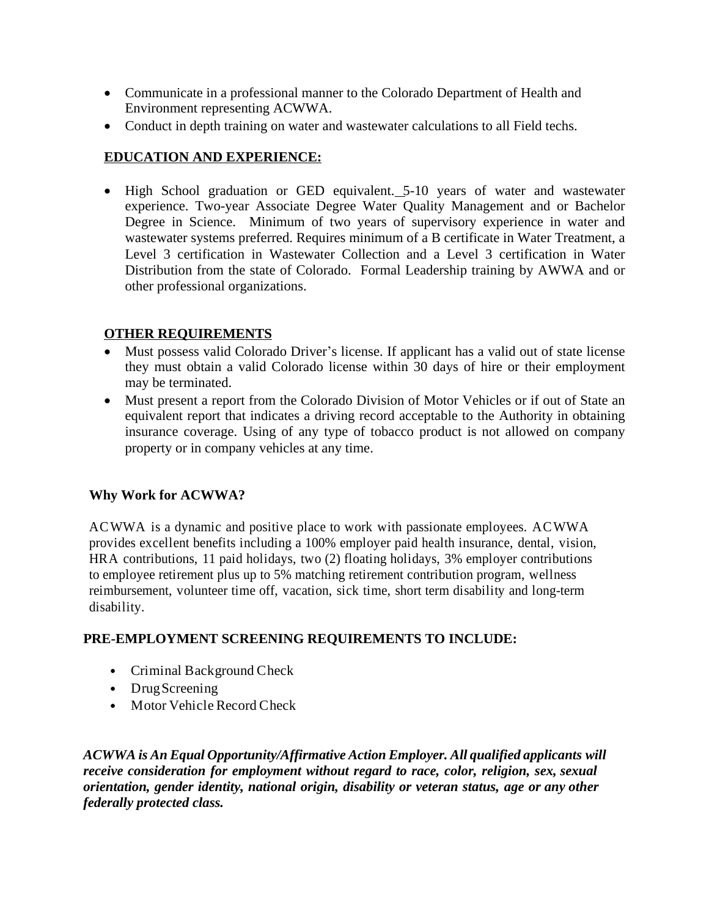- Communicate in a professional manner to the Colorado Department of Health and Environment representing ACWWA.
- Conduct in depth training on water and wastewater calculations to all Field techs.

# **EDUCATION AND EXPERIENCE:**

 High School graduation or GED equivalent.5-10 years of water and wastewater experience. Two-year Associate Degree Water Quality Management and or Bachelor Degree in Science. Minimum of two years of supervisory experience in water and wastewater systems preferred. Requires minimum of a B certificate in Water Treatment, a Level 3 certification in Wastewater Collection and a Level 3 certification in Water Distribution from the state of Colorado. Formal Leadership training by AWWA and or other professional organizations.

# **OTHER REQUIREMENTS**

- Must possess valid Colorado Driver's license. If applicant has a valid out of state license they must obtain a valid Colorado license within 30 days of hire or their employment may be terminated.
- Must present a report from the Colorado Division of Motor Vehicles or if out of State an equivalent report that indicates a driving record acceptable to the Authority in obtaining insurance coverage. Using of any type of tobacco product is not allowed on company property or in company vehicles at any time.

## **Why Work for ACWWA?**

ACWWA is a dynamic and positive place to work with passionate employees. ACWWA provides excellent benefits including a 100% employer paid health insurance, dental, vision, HRA contributions, 11 paid holidays, two (2) floating holidays, 3% employer contributions to employee retirement plus up to 5% matching retirement contribution program, wellness reimbursement, volunteer time off, vacation, sick time, short term disability and long-term disability.

## **PRE-EMPLOYMENT SCREENING REQUIREMENTS TO INCLUDE:**

- *•* Criminal Background Check
- *•* DrugScreening
- *•* Motor Vehicle Record Check

*ACWWA is An Equal Opportunity/Affirmative Action Employer. All qualified applicants will receive consideration for employment without regard to race, color, religion, sex, sexual orientation, gender identity, national origin, disability or veteran status, age or any other federally protected class.*